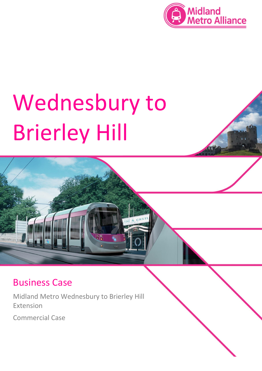

# Wednesbury to Brierley Hill



# Business Case

Midland Metro Wednesbury to Brierley Hill Extension

Commercial Case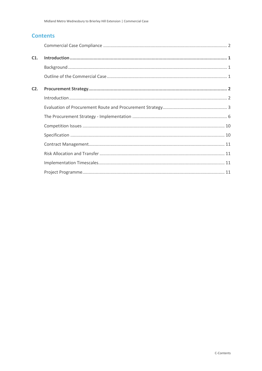# **Contents**

| C1. |  |
|-----|--|
|     |  |
|     |  |
| C2. |  |
|     |  |
|     |  |
|     |  |
|     |  |
|     |  |
|     |  |
|     |  |
|     |  |
|     |  |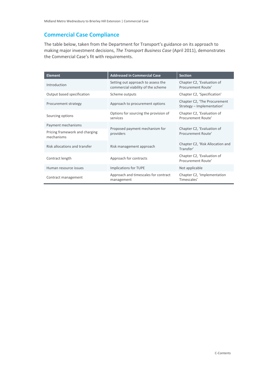# <span id="page-3-0"></span>**Commercial Case Compliance**

The table below, taken from the Department for Transport's guidance on its approach to making major investment decisions, *The Transport Business Case* (April 2011), demonstrates the Commercial Case's fit with requirements.

| <b>Element</b>                               | <b>Addressed in Commercial Case</b>                                      | <b>Section</b>                                             |
|----------------------------------------------|--------------------------------------------------------------------------|------------------------------------------------------------|
| Introduction                                 | Setting out approach to assess the<br>commercial viability of the scheme | Chapter C2, 'Evaluation of<br>Procurement Route'           |
| Output based specification                   | Scheme outputs                                                           | Chapter C2, 'Specification'                                |
| Procurement strategy                         | Approach to procurement options                                          | Chapter C2, 'The Procurement<br>Strategy - Implementation' |
| Sourcing options                             | Options for sourcing the provision of<br>services                        | Chapter C2, 'Evaluation of<br>Procurement Route'           |
| Payment mechanisms                           |                                                                          | Chapter C2, 'Evaluation of<br>Procurement Route'           |
| Pricing framework and charging<br>mechanisms | Proposed payment mechanism for<br>providers                              |                                                            |
| Risk allocations and transfer                | Risk management approach                                                 | Chapter C2, 'Risk Allocation and<br>Transfer'              |
| Contract length                              | Approach for contracts                                                   | Chapter C2, 'Evaluation of<br>Procurement Route'           |
| Human resource issues                        | <b>Implications for TUPE</b>                                             | Not applicable                                             |
| Contract management                          | Approach and timescales for contract<br>management                       | Chapter C2, 'Implementation<br>Timescales'                 |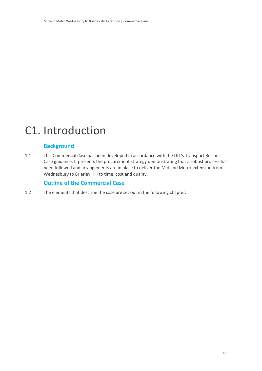# <span id="page-4-0"></span>C1. Introduction

# <span id="page-4-1"></span>**Background**

1.1 This Commercial Case has been developed in accordance with the DfT's Transport Business Case guidance. It presents the procurement strategy demonstrating that a robust process has been followed and arrangements are in place to deliver the Midland Metro extension from Wednesbury to Brierley Hill to time, cost and quality.

# <span id="page-4-2"></span>**Outline of the Commercial Case**

1.2 The elements that describe the case are set out in the following chapter.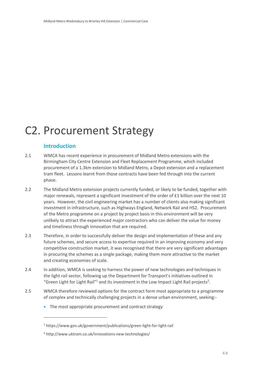# <span id="page-5-0"></span>C2. Procurement Strategy

# <span id="page-5-1"></span>**Introduction**

 $\overline{a}$ 

- 2.1 WMCA has recent experience in procurement of Midland Metro extensions with the Birmingham City Centre Extension and Fleet Replacement Programme, which included procurement of a 1.3km extension to Midland Metro, a Depot extension and a replacement tram fleet. Lessons learnt from those contracts have been fed through into the current phase.
- 2.2 The Midland Metro extension projects currently funded, or likely to be funded, together with major renewals, represent a significant investment of the order of £1 billion over the next 10 years. However, the civil engineering market has a number of clients also making significant investment in infrastructure, such as Highways England, Network Rail and HS2. Procurement of the Metro programme on a project by project basis in this environment will be very unlikely to attract the experienced major contractors who can deliver the value for money and timeliness through innovation that are required.
- 2.3 Therefore, in order to successfully deliver the design and implementation of these and any future schemes, and secure access to expertise required in an improving economy and very competitive construction market, it was recognised that there are very significant advantages in procuring the schemes as a single package, making them more attractive to the market and creating economies of scale.
- 2.4 In addition, WMCA is seeking to harness the power of new technologies and techniques in the light rail sector, following up the Department for Transport's initiatives outlined in "Green Light for Light Rail"<sup>1</sup> and its investment in the Low Impact Light Rail projects<sup>2</sup>.
- 2.5 WMCA therefore reviewed options for the contract form most appropriate to a programme of complex and technically challenging projects in a dense urban environment, seeking:-
	- The most appropriate procurement and contract strategy

<sup>1</sup> https://www.gov.uk/government/publications/green-light-for-light-rail

<sup>2</sup> http://www.uktram.co.uk/innovations-new-technologies/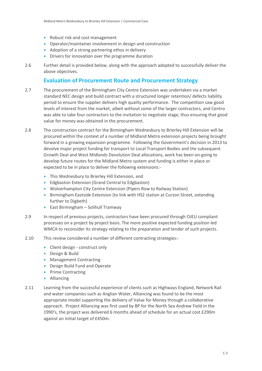- Robust risk and cost management
- Operator/maintainer involvement in design and construction
- Adoption of a strong partnering ethos in delivery
- Drivers for innovation over the programme duration
- 2.6 Further detail is provided below, along with the approach adopted to successfully deliver the above objectives.

### <span id="page-6-0"></span>**Evaluation of Procurement Route and Procurement Strategy**

- 2.7 The procurement of the Birmingham City Centre Extension was undertaken via a market standard NEC design and build contract with a structured longer retention/ defects liability period to ensure the supplier delivers high quality performance. The competition saw good levels of interest from the market, albeit without some of the larger contractors, and Centro was able to take four contractors to the invitation to negotiate stage, thus ensuring that good value for money was obtained in the procurement.
- 2.8 The construction contract for the Birmingham Wednesbury to Brierley Hill Extension will be procured within the context of a number of Midland Metro extension projects being brought forward in a growing expansion programme. Following the Government's decision in 2013 to devolve major project funding for transport to Local Transport Bodies and the subsequent Growth Deal and West Midlands Devolution Deal allocations, work has been on-going to develop future routes for the Midland Metro system and funding is either in place or expected to be in place to deliver the following extensions:-
	- This Wednesbury to Brierley Hill Extension, and
	- Edgbaston Extension (Grand Central to Edgbaston)
	- Wolverhampton City Centre Extension (Pipers Row to Railway Station)
	- Birmingham Eastside Extension (to link with HS2 station at Curzon Street, extending further to Digbeth)
	- East Birmingham Solihull Tramway
- 2.9 In respect of previous projects, contractors have been procured through OJEU compliant processes on a project by project basis. The more positive expected funding position led WMCA to reconsider its strategy relating to the preparation and tender of such projects.
- 2.10 This review considered a number of different contracting strategies:-
	- Client design construct only
	- Design & Build
	- Management Contracting
	- Design Build Fund and Operate
	- Prime Contracting
	- Alliancing
- 2.11 Learning from the successful experience of clients such as Highways England, Network Rail and water companies such as Anglian Water, Alliancing was found to be the most appropriate model supporting the delivery of Value for Money through a collaborative approach. Project Alliancing was first used by BP for the North Sea Andrew Field in the 1990's, the project was delivered 6 months ahead of schedule for an actual cost £290m against an initial target of £450m.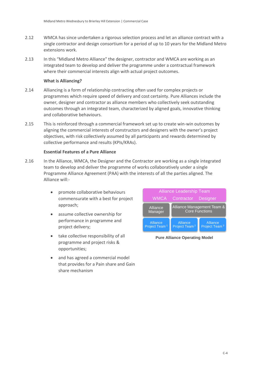- 2.12 WMCA has since undertaken a rigorous selection process and let an alliance contract with a single contractor and design consortium for a period of up to 10 years for the Midland Metro extensions work.
- 2.13 In this "Midland Metro Alliance" the designer, contractor and WMCA are working as an integrated team to develop and deliver the programme under a contractual framework where their commercial interests align with actual project outcomes.

#### **What is Alliancing?**

- 2.14 Alliancing is a form of relationship contracting often used for complex projects or programmes which require speed of delivery and cost certainty. Pure Alliances include the owner, designer and contractor as alliance members who collectively seek outstanding outcomes through an integrated team, characterized by aligned goals, innovative thinking and collaborative behaviours.
- 2.15 This is reinforced through a commercial framework set up to create win-win outcomes by aligning the commercial interests of constructors and designers with the owner's project objectives, with risk collectively assumed by all participants and rewards determined by collective performance and results (KPIs/KRAs).

#### **Essential Features of a Pure Alliance**

- 2.16 In the Alliance, WMCA, the Designer and the Contractor are working as a single integrated team to develop and deliver the programme of works collaboratively under a single Programme Alliance Agreement (PAA) with the interests of all the parties aligned. The Alliance will:
	- promote collaborative behaviours commensurate with a best for project approach;
	- assume collective ownership for performance in programme and project delivery;
	- take collective responsibility of all programme and project risks & opportunities;
	- and has agreed a commercial model that provides for a Pain share and Gain share mechanism



**Pure Alliance Operating Model**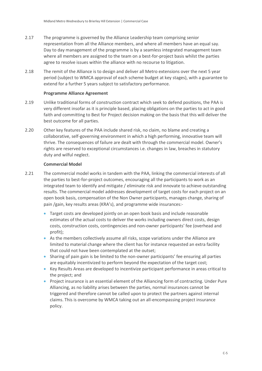- 2.17 The programme is governed by the Alliance Leadership team comprising senior representation from all the Alliance members, and where all members have an equal say. Day to day management of the programme is by a seamless integrated management team where all members are assigned to the team on a best-for-project basis whilst the parties agree to resolve issues within the alliance with no recourse to litigation.
- 2.18 The remit of the Alliance is to design and deliver all Metro extensions over the next 5 year period (subject to WMCA approval of each scheme budget at key stages), with a guarantee to extend for a further 5 years subject to satisfactory performance.

#### **Programme Alliance Agreement**

- 2.19 Unlike traditional forms of construction contract which seek to defend positions, the PAA is very different insofar as it is principle based, placing obligations on the parties to act in good faith and committing to Best for Project decision making on the basis that this will deliver the best outcome for all parties.
- 2.20 Other key features of the PAA include shared risk, no claim, no blame and creating a collaborative, self-governing environment in which a high performing, innovative team will thrive. The consequences of failure are dealt with through the commercial model. Owner's rights are reserved to exceptional circumstances i.e. changes in law, breaches in statutory duty and wilful neglect.

#### **Commercial Model**

- 2.21 The commercial model works in tandem with the PAA, linking the commercial interests of all the parties to best-for-project outcomes, encouraging all the participants to work as an integrated team to identify and mitigate / eliminate risk and innovate to achieve outstanding results. The commercial model addresses development of target costs for each project on an open book basis, compensation of the Non Owner participants, manages change, sharing of pain /gain, key results areas (KRA's), and programme wide insurances:-
	- Target costs are developed jointly on an open book basis and include reasonable estimates of the actual costs to deliver the works including owners direct costs, design costs, construction costs, contingencies and non-owner participants' fee (overhead and profit);
	- As the members collectively assume all risks, scope variations under the Alliance are limited to material change where the client has for instance requested an extra facility that could not have been contemplated at the outset;
	- Sharing of pain gain is be limited to the non-owner participants' fee ensuring all parties are equitably incentivized to perform beyond the expectation of the target cost;
	- Key Results Areas are developed to incentivize participant performance in areas critical to the project; and
	- Project insurance is an essential element of the Alliancing form of contracting. Under Pure Alliancing, as no liability arises between the parties, normal insurances cannot be triggered and therefore cannot be called upon to protect the partners against internal claims. This is overcome by WMCA taking out an all-encompassing project insurance policy.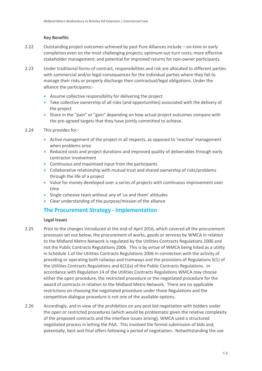#### **Key Benefits**

- 2.22 Outstanding project outcomes achieved by past Pure Alliances include on-time or early completion even on the most challenging projects; optimum out-turn costs; more effective stakeholder management; and potential for improved returns for non-owner participants.
- 2.23 Under traditional forms of contract, responsibilities and risk are allocated to different parties with commercial and/or legal consequences for the individual parties where they fail to manage their risks or properly discharge their contractual/legal obligations. Under the alliance the participants:-
	- Assume collective responsibility for delivering the project
	- Take collective ownership of all risks (and opportunities) associated with the delivery of the project
	- Share in the "pain" or "gain" depending on how actual project outcomes compare with the pre-agreed targets that they have jointly committed to achieve.
- 2.24 This provides for:-
	- Active management of the project in all respects, as opposed to 'reactive' management when problems arise
	- Reduced costs and project durations and improved quality of deliverables through early contractor involvement
	- Continuous and maximised input from the participants
	- Collaborative relationship with mutual trust and shared ownership of risks/problems through the life of a project
	- Value for money developed over a series of projects with continuous improvement over time
	- Single cohesive team without any of 'us and them' attitudes
	- Clear understanding of the purpose/mission of the alliance

## <span id="page-9-0"></span>**The Procurement Strategy - Implementation**

#### **Legal Issues**

- 2.25 Prior to the changes introduced at the end of April 2016, which covered all the procurement processes set out below, the procurement of works, goods or services by WMCA in relation to the Midland Metro Network is regulated by the Utilities Contracts Regulations 2006 and not the Public Contracts Regulations 2006. This is by virtue of WMCA being listed as a utility in Schedule 1 of the Utilities Contracts Regulations 2006 in connection with the activity of providing or operating both railways and tramways and the provisions of Regulations 5(1) of the Utilities Contracts Regulations and 6(1)(a) of the Public Contracts Regulations. In accordance with Regulation 14 of the Utilities Contracts Regulations WMCA may choose either the open procedure, the restricted procedure or the negotiated procedure for the award of contracts in relation to the Midland Metro Network. There are no applicable restrictions on choosing the negotiated procedure under those Regulations and the competitive dialogue procedure is not one of the available options.
- 2.26 Accordingly, and in view of the prohibition on any post bid negotiation with bidders under the open or restricted procedures (which would be problematic given the relative complexity of the proposed contracts and the interface issues arising), WMCA used a structured negotiated process in letting the PAA. This involved the formal submission of bids and, potentially, best and final offers following a period of negotiation. Notwithstanding the use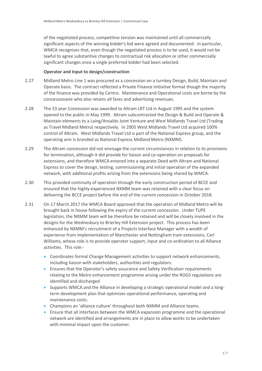of the negotiated process, competitive tension was maintained until all commercially significant aspects of the winning bidder's bid were agreed and documented. In particular, WMCA recognises that, even though the negotiated process is to be used, it would not be lawful to agree substantive changes to contractual risk allocation or other commercially significant changes once a single preferred bidder had been selected.

#### **Operator and Input to design/construction**

- 2.27 Midland Metro Line 1 was procured as a concession on a turnkey Design, Build, Maintain and Operate basis. The contract reflected a Private Finance Initiative format though the majority of the finance was provided by Centro. Maintenance and Operational costs are borne by the concessionaire who also retains all fares and advertising revenues.
- 2.28 The 23 year Concession was awarded to Altram LRT Ltd in August 1995 and the system opened to the public in May 1999. Altram subcontracted the Design & Build and Operate & Maintain elements to a Laing/Ansaldo Joint Venture and West Midlands Travel Ltd (Trading as Travel Midland Metro) respectively. In 2005 West Midlands Travel Ltd acquired 100% control of Altram. West Midlands Travel Ltd is part of the National Express group, and the operating arm is branded as National Express Midland Metro (NXMM).
- 2.29 The Altram concession did not envisage the current circumstances in relation to its provisions for termination, although it did provide for liaison and co-operation on proposals for extensions, and therefore WMCA entered into a separate Deed with Altram and National Express to cover the design, testing, commissioning and initial operation of the expanded network, with additional profits arising from the extensions being shared by WMCA.
- 2.30 This provided continuity of operation through the early construction period of BCCE and ensured that the highly-experienced NXMM team was retained with a clear focus on delivering the BCCE project before the end of the current concession in October 2018.
- 2.31 On 17 March 2017 the WMCA Board approved that the operation of Midland Metro will be brought back in house following the expiry of the current concession. Under TUPE legislation, the NXMM team will be therefore be retained and will be closely involved in the designs for the Wednesbury to Brierley Hill Extension project. This process has been enhanced by NXMM's recruitment of a Projects Interface Manager with a wealth of experience from implementation of Manchester and Nottingham tram extensions, Carl Williams, whose role is to provide operator support, input and co-ordination to all Alliance activities. This role:-
	- Coordinates formal Change Management activities to support network enhancements, including liaison with stakeholders, authorities and regulators.
	- Ensures that the Operator's safety assurance and Safety Verification requirements relating to the Metro enhancement programme arising under the ROGS regulations are identified and discharged
	- Supports WMCA and the Alliance in developing a strategic operational model and a longterm development plan that optimises operational performance, operating and maintenance costs.
	- Champions an 'alliance culture' throughout both NXMM and Alliance teams.
	- Ensure that all interfaces between the WMCA expansion programme and the operational network are identified and arrangements are in place to allow works to be undertaken with minimal impact upon the customer.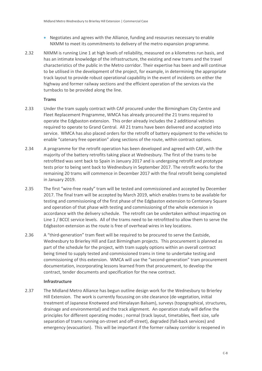- Negotiates and agrees with the Alliance, funding and resources necessary to enable NXMM to meet its commitments to delivery of the metro expansion programme.
- 2.32 NXMM is running Line 1 at high levels of reliability, measured on a kilometres run basis, and has an intimate knowledge of the infrastructure, the existing and new trams and the travel characteristics of the public in the Metro corridor. Their expertise has been and will continue to be utilised in the development of the project, for example, in determining the appropriate track layout to provide robust operational capability in the event of incidents on either the highway and former railway sections and the efficient operation of the services via the turnbacks to be provided along the line.

#### **Trams**

- 2.33 Under the tram supply contract with CAF procured under the Birmingham City Centre and Fleet Replacement Programme, WMCA has already procured the 21 trams required to operate the Edgbaston extension. This order already includes the 2 additional vehicles required to operate to Grand Central. All 21 trams have been delivered and accepted into service. WMCA has also placed orders for the retrofit of battery equipment to the vehicles to enable "catenary free operation" along sections of the route, within contract options.
- 2.34 A programme for the retrofit operation has been developed and agreed with CAF, with the majority of the battery retrofits taking place at Wednesbury. The first of the trams to be retrofitted was sent back to Spain in January 2017 and is undergoing retrofit and prototype tests prior to being sent back to Wednesbury in September 2017. The retrofit works for the remaining 20 trams will commence in December 2017 with the final retrofit being completed in January 2019.
- 2.35 The first "wire-free ready" tram will be tested and commissioned and accepted by December 2017. The final tram will be accepted by March 2019, which enables trams to be available for testing and commissioning of the first phase of the Edgbaston extension to Centenary Square and operation of that phase with testing and commissioning of the whole extension in accordance with the delivery schedule. The retrofit can be undertaken without impacting on Line 1 / BCCE service levels. All of the trams need to be retrofitted to allow them to serve the Edgbaston extension as the route is free of overhead wires in key locations.
- 2.36 A "third-generation" tram fleet will be required to be procured to serve the Eastside, Wednesbury to Brierley Hill and East Birmingham projects. This procurement is planned as part of the schedule for the project, with tram supply options within an overall contract being timed to supply tested and commissioned trams in time to undertake testing and commissioning of this extension. WMCA will use the "second-generation" tram procurement documentation, incorporating lessons learned from that procurement, to develop the contract, tender documents and specification for the new contract.

#### **Infrastructure**

2.37 The Midland Metro Alliance has begun outline design work for the Wednesbury to Brierley Hill Extension. The work is currently focussing on site clearance (de-vegetation, initial treatment of Japanese Knotweed and Himalayan Balsam), surveys (topographical, structures, drainage and environmental) and the track alignment. An operation study will define the principles for different operating modes ; normal (track layout, timetables, fleet size, safe separation of trams running on-street and off-street), degraded (fall-back services) and emergency (evacuation). This will be important if the former railway corridor is reopened in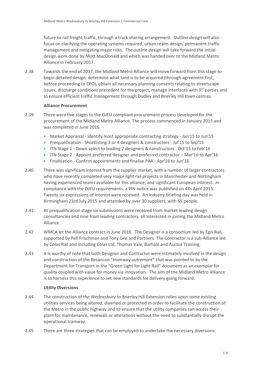future to rail freight traffic, through a track sharing arrangement. Outline design will also focus on clarifying the operating systems required, urban realm design, permanent traffic management and mitigating major risks. The outline design will take forward the initial design work done by Mott MacDonald and which was handed over to the Midland Metro Alliance in February 2017.

2.38 Towards the end of 2017, the Midland Metro Alliance will move forward from this stage to begin detailed design, determine what land is to be acquired (through agreement first, before proceeding to CPO), obtain all necessary planning consents relating to streetscape issues, discharge conditions precedent for the project, manage interfaces with 3rd parties and to ensure efficient traffic management through Dudley and Brierley Hill town centres.

#### **Alliance Procurement**

- 2.39 There were five stages to the OJEU compliant procurement process developed for the procurement of the Midland Metro Alliance. The process commenced in January 2015 and was completed in June 2016.
	- Market Appraisal Identify most appropriate contracting strategy Jan'15 to Jun'15
	- Prequalification Shortlisting 3 or 4 designers & constructors Jul'15 to Sep'15
	- ITN Stage 1 Down select to leading 2 designers & constructors Oct'15 to Feb'16
	- ITN Stage 2 Appoint preferred designer and preferred contractor Mar'16 to Apr'16
	- Finalisation Confirm appointments and finalise PAA Apr'16 to Jun'16
- 2.40 There was significant interest from the supplier market, with a number of larger contractors who have recently completed very major light rail projects in Manchester and Nottingham having experienced teams available for this alliance, and significant European interest. In compliance with the OJEU requirements, a PIN notice was published on 4th April 2015. Twenty six expressions of interest were received. An industry briefing day was held in Birmingham 23rd July 2015 and attended by over 30 suppliers, with 65 people.
- 2.41 At prequalification stage six submissions were received from market leading design consultancies and nine from leading contractors, all interested in joining the Midland Metro Alliance.
- 2.42 WMCA let the Alliance contract in June 2016. The Designer is a consortium led by Egis Rail, supported by Pell Frischman and Tony Gee and Partners. The Contractor is a sub-Alliance led by Colas Rail and including Colas Ltd, Thomas Vale, Barhale and Auctus Training.
- 2.43 It is worthy of note that both Designer and Contractor were intimately involved in the design and construction of the Besancon "*tramway autremont*" that was pointed to by the Department for Transport in the "Green Light for Light Rail" document as an exemplar for quality coupled with value for money via innovation. The aim of the Midland Metro Alliance is to harness this experience to set new standards for delivery going forward.

#### **Utility Diversions**

- 2.44 The construction of the Wednesbury to Brierley Hill Extension relies upon some existing utilities services being altered, diverted or protected in order to facilitate the construction of the Metro in the public highway and to ensure that the utility companies can access their plant for maintenance, renewals or alterations without the need to substantially disrupt the operational tramway.
- 2.45 There are three strategies that can be employed to undertake the necessary diversions: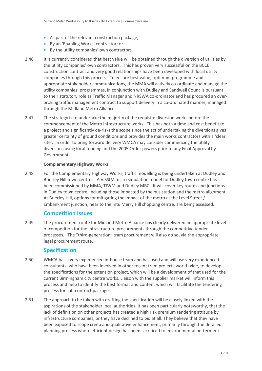- As part of the relevant construction package;
- By an 'Enabling Works' contractor; or
- By the utility companies' own contractors.
- 2.46 It is currently considered that best value will be obtained through the diversion of utilities by the utility companies' own contractors. This has proven very successful on the BCCE construction contract and very good relationships have been developed with local utility companies through this process. To ensure best value, optimum programme and appropriate stakeholder communications, the MMA will actively co-ordinate and manage the utility companies' programmes, in conjunction with Dudley and Sandwell Councils pursuant to their statutory role as Traffic Manager and NRSWA co-ordinator and has procured an overarching traffic management contract to support delivery in a co-ordinated manner, managed through the Midland Metro Alliance.
- 2.47 The strategy is to undertake the majority of the requisite diversion works before the commencement of the Metro infrastructure works. This has both a time and cost benefit to a project and significantly de-risks the scope since the act of undertaking the diversions gives greater certainty of ground conditions and provides the main works contractors with a 'clear site'. In order to bring forward delivery WMCA may consider commencing the utility diversions using local funding and the 2005 Order powers prior to any Final Approval by Government.

#### **Complementary Highway Works**

2.48 For the Complementary Highway Works, traffic modelling is being undertaken at Dudley and Brierley Hill town centres. A VISSIM micro simulation model for Dudley town centre has been commissioned by MMA, TfWM and Dudley MBC. It will cover key routes and junctions in Dudley town centre, including those impacted by the bus station and the metro alignment. At Brierley Hill, options for mitigating the impact of the metro at the Level Street / Embankment junction, near to the Intu Merry Hill shopping centre, are being assessed.

#### <span id="page-13-0"></span>**Competition Issues**

2.49 The procurement route for Midland Metro Alliance has clearly delivered an appropriate level of competition for the infrastructure procurements through the competitive tender processes. The "third-generation" tram procurement will also do so, via the appropriate legal procurement route.

#### <span id="page-13-1"></span>**Specification**

- 2.50 WMCA has a very experienced in-house team and has used and will use very experienced consultants, who have been involved in other recent tram projects world-wide, to develop the specifications for the extension project, which will be a development of that used for the current Birmingham city centre works. Liaison with the supplier market will inform this process and help to identify the best format and content which will facilitate the tendering process for sub-contract packages.
- 2.51 The approach to be taken with drafting the specification will be closely linked with the aspirations of the stakeholder local authorities. It has been particularly noteworthy, that the lack of definition on other projects has created a high risk premium tendering attitude by infrastructure companies, or they have declined to bid at all. They believe that they have been exposed to scope creep and qualitative enhancement, primarily through the detailed planning process where efficient design has been sacrificed to environmental betterment.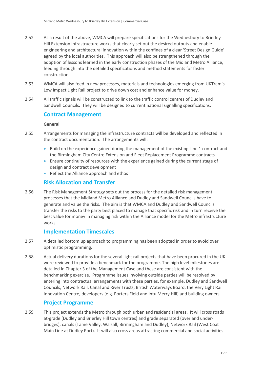- 2.52 As a result of the above, WMCA will prepare specifications for the Wednesbury to Brierley Hill Extension infrastructure works that clearly set out the desired outputs and enable engineering and architectural innovation within the confines of a clear 'Street Design Guide' agreed by the local authorities. This approach will also be strengthened through the adoption of lessons learned in the early construction phases of the Midland Metro Alliance, feeding through into the detailed specifications and method statements for faster construction.
- 2.53 WMCA will also feed in new processes, materials and technologies emerging from UKTram's Low Impact Light Rail project to drive down cost and enhance value for money.
- 2.54 All traffic signals will be constructed to link to the traffic control centres of Dudley and Sandwell Councils. They will be designed to current national signalling specifications.

#### <span id="page-14-0"></span>**Contract Management**

#### **General**

- 2.55 Arrangements for managing the infrastructure contracts will be developed and reflected in the contract documentation. The arrangements will:
	- Build on the experience gained during the management of the existing Line 1 contract and the Birmingham City Centre Extension and Fleet Replacement Programme contracts
	- Ensure continuity of resources with the experience gained during the current stage of design and contract development
	- Reflect the Alliance approach and ethos

# <span id="page-14-1"></span>**Risk Allocation and Transfer**

2.56 The Risk Management Strategy sets out the process for the detailed risk management processes that the Midland Metro Alliance and Dudley and Sandwell Councils have to generate and value the risks. The aim is that WMCA and Dudley and Sandwell Councils transfer the risks to the party best placed to manage that specific risk and in turn receive the best value for money in managing risk within the Alliance model for the Metro infrastructure works.

#### <span id="page-14-2"></span>**Implementation Timescales**

- 2.57 A detailed bottom up approach to programming has been adopted in order to avoid over optimistic programming.
- 2.58 Actual delivery durations for the several light rail projects that have been procured in the UK were reviewed to provide a benchmark for the programme. The high level milestones are detailed in Chapter 3 of the Management Case and these are consistent with the benchmarking exercise. Programme issues involving outside parties will be resolved by entering into contractual arrangements with these parties, for example, Dudley and Sandwell Councils, Network Rail, Canal and River Trusts, British Waterways Board, the Very Light Rail Innovation Centre, developers (e.g. Porters Field and Intu Merry Hill) and building owners.

## <span id="page-14-3"></span>**Project Programme**

2.59 This project extends the Metro through both urban and residential areas. It will cross roads at-grade (Dudley and Brierley Hill town centres) and grade separated (over and underbridges), canals (Tame Valley, Walsall, Birmingham and Dudley), Network Rail (West Coat Main Line at Dudley Port). It will also cross areas attracting commercial and social activities.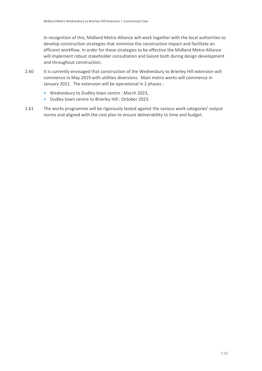In recognition of this, Midland Metro Alliance will work together with the local authorities to develop construction strategies that minimise the construction impact and facilitate an efficient workflow. In order for these strategies to be effective the Midland Metro Alliance will implement robust stakeholder consultation and liaison both during design development and throughout construction.

- 2.60 It is currently envisaged that construction of the Wednesbury to Brierley Hill extension will commence in May 2019 with utilities diversions. Main metro works will commence in January 2021. The extension will be operational in 2 phases :
	- Wednesbury to Dudley town centre : March 2023,
	- Dudley town centre to Brierley Hill : October 2023.
- 2.61 The works programme will be rigorously tested against the various work categories' output norms and aligned with the cost plan to ensure deliverability to time and budget.